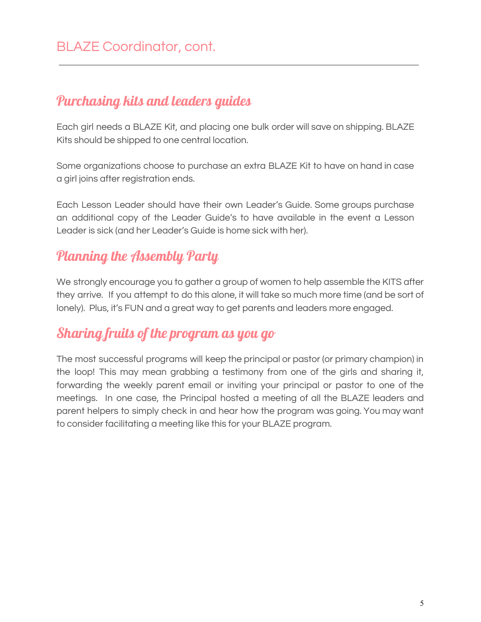### Purchasing kits and leaders guides

Each girl needs a BLAZE Kit, and placing one bulk order will save on shipping. BLAZE Kits should be shipped to one central location.

Some organizations choose to purchase an extra BLAZE Kit to have on hand in case a girl joins after registration ends.

Each Lesson Leader should have their own Leader's Guide. Some groups purchase an additional copy of the Leader Guide's to have available in the event a Lesson Leader is sick (and her Leader's Guide is home sick with her).

## Planning the Assembly Party

We strongly encourage you to gather a group of women to help assemble the KITS after they arrive. If you attempt to do this alone, it will take so much more time (and be sort of lonely). Plus, it's FUN and a great way to get parents and leaders more engaged.

## Sharing fruits of the program as you go

The most successful programs will keep the principal or pastor (or primary champion) in the loop! This may mean grabbing a testimony from one of the girls and sharing it, forwarding the weekly parent email or inviting your principal or pastor to one of the meetings. In one case, the Principal hosted a meeting of all the BLAZE leaders and parent helpers to simply check in and hear how the program was going. You may want to consider facilitating a meeting like this for your BLAZE program.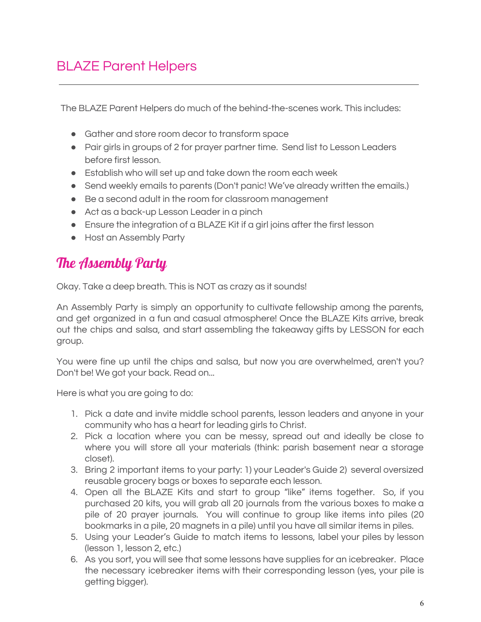## BLAZE Parent Helpers

The BLAZE Parent Helpers do much of the behind-the-scenes work. This includes:

- Gather and store room decor to transform space
- Pair girls in groups of 2 for prayer partner time. Send list to Lesson Leaders before first lesson.
- Establish who will set up and take down the room each week
- Send weekly emails to parents (Don't panic! We've already written the emails.)
- Be a second adult in the room for classroom management
- Act as a back-up Lesson Leader in a pinch
- Ensure the integration of a BLAZE Kit if a girl joins after the first lesson
- Host an Assembly Party

## The Assembly Party

Okay. Take a deep breath. This is NOT as crazy as it sounds!

An Assembly Party is simply an opportunity to cultivate fellowship among the parents, and get organized in a fun and casual atmosphere! Once the BLAZE Kits arrive, break out the chips and salsa, and start assembling the takeaway gifts by LESSON for each group.

You were fine up until the chips and salsa, but now you are overwhelmed, aren't you? Don't be! We got your back. Read on...

Here is what you are going to do:

- 1. Pick a date and invite middle school parents, lesson leaders and anyone in your community who has a heart for leading girls to Christ.
- 2. Pick a location where you can be messy, spread out and ideally be close to where you will store all your materials (think: parish basement near a storage closet).
- 3. Bring 2 important items to your party: 1) your Leader's Guide 2) several oversized reusable grocery bags or boxes to separate each lesson.
- 4. Open all the BLAZE Kits and start to group "like" items together. So, if you purchased 20 kits, you will grab all 20 journals from the various boxes to make a pile of 20 prayer journals. You will continue to group like items into piles (20 bookmarks in a pile, 20 magnets in a pile) until you have all similar items in piles.
- 5. Using your Leader's Guide to match items to lessons, label your piles by lesson (lesson 1, lesson 2, etc.)
- 6. As you sort, you will see that some lessons have supplies for an icebreaker. Place the necessary icebreaker items with their corresponding lesson (yes, your pile is getting bigger).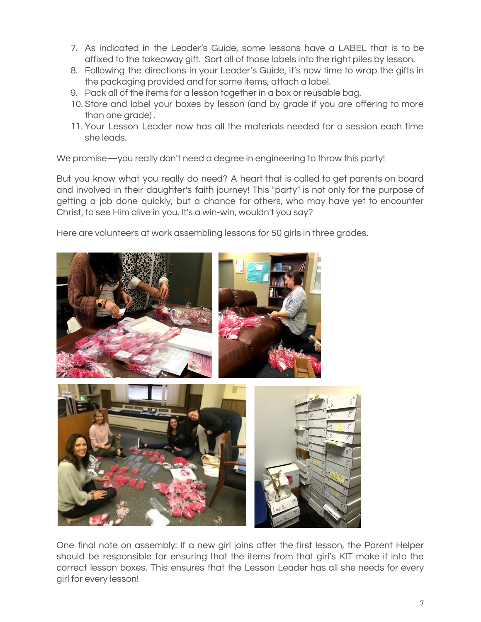- 7. As indicated in the Leader's Guide, some lessons have a LABEL that is to be affixed to the takeaway gift. Sort all of those labels into the right piles by lesson.
- 8. Following the directions in your Leader's Guide, it's now time to wrap the gifts in the packaging provided and for some items, attach a label.
- 9. Pack all of the items for a lesson together in a box or reusable bag.
- 10. Store and label your boxes by lesson (and by grade if you are offering to more than one grade) .
- 11. Your Lesson Leader now has all the materials needed for a session each time she leads.

We promise—you really don't need a degree in engineering to throw this party!

But you know what you really do need? A heart that is called to get parents on board and involved in their daughter's faith journey! This "party" is not only for the purpose of getting a job done quickly, but a chance for others, who may have yet to encounter Christ, to see Him alive in you. It's a win-win, wouldn't you say?

Here are volunteers at work assembling lessons for 50 girls in three grades.



One final note on assembly: If a new girl joins after the first lesson, the Parent Helper should be responsible for ensuring that the items from that girl's KIT make it into the correct lesson boxes. This ensures that the Lesson Leader has all she needs for every girl for every lesson!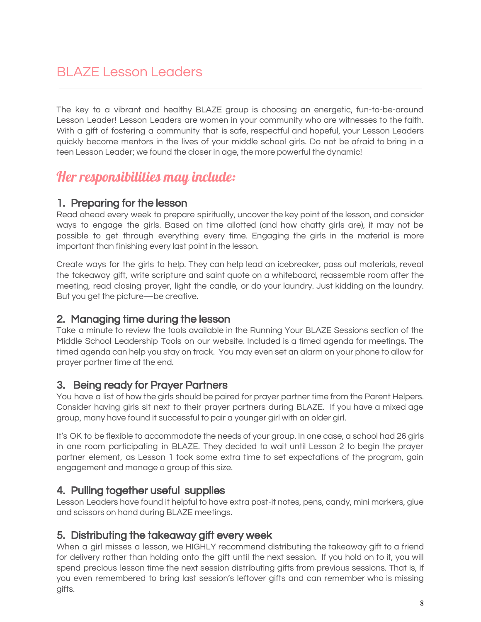The key to a vibrant and healthy BLAZE group is choosing an energetic, fun-to-be-around Lesson Leader! Lesson Leaders are women in your community who are witnesses to the faith. With a gift of fostering a community that is safe, respectful and hopeful, your Lesson Leaders quickly become mentors in the lives of your middle school girls. Do not be afraid to bring in a teen Lesson Leader; we found the closer in age, the more powerful the dynamic!

### Her responsibilities may include:

#### 1. Preparing for the lesson

Read ahead every week to prepare spiritually, uncover the key point of the lesson, and consider ways to engage the girls. Based on time allotted (and how chatty girls are), it may not be possible to get through everything every time. Engaging the girls in the material is more important than finishing every last point in the lesson.

Create ways for the girls to help. They can help lead an icebreaker, pass out materials, reveal the takeaway gift, write scripture and saint quote on a whiteboard, reassemble room after the meeting, read closing prayer, light the candle, or do your laundry. Just kidding on the laundry. But you get the picture—be creative.

#### 2. Managing time during the lesson

Take a minute to review the tools available in the Running Your BLAZE Sessions section of the Middle School Leadership Tools on our website. Included is a timed agenda for meetings. The timed agenda can help you stay on track. You may even set an alarm on your phone to allow for prayer partner time at the end.

#### 3. Being ready for Prayer Partners

You have a list of how the girls should be paired for prayer partner time from the Parent Helpers. Consider having girls sit next to their prayer partners during BLAZE. If you have a mixed age group, many have found it successful to pair a younger girl with an older girl.

It's OK to be flexible to accommodate the needs of your group. In one case, a school had 26 girls in one room participating in BLAZE. They decided to wait until Lesson 2 to begin the prayer partner element, as Lesson 1 took some extra time to set expectations of the program, gain engagement and manage a group of this size.

#### 4. Pulling together useful supplies

Lesson Leaders have found it helpful to have extra post-it notes, pens, candy, mini markers, glue and scissors on hand during BLAZE meetings.

#### 5. Distributing the takeaway gift every week

When a girl misses a lesson, we HIGHLY recommend distributing the takeaway gift to a friend for delivery rather than holding onto the gift until the next session. If you hold on to it, you will spend precious lesson time the next session distributing gifts from previous sessions. That is, if you even remembered to bring last session's leftover gifts and can remember who is missing gifts.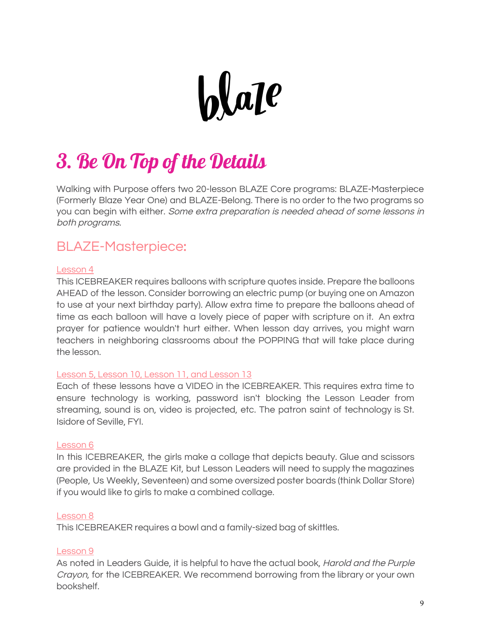

# 3. Be On Top of the Details

Walking with Purpose offers two 20-lesson BLAZE Core programs: BLAZE Masterpiece (Formerly Blaze Year One) and BLAZE Belong. There is no order to the two programs so you can begin with either. Some extra preparation is needed ahead of some lessons in both programs.

### BLAZE Masterpiece:

#### Lesson 4

This ICEBREAKER requires balloons with scripture quotes inside. Prepare the balloons AHEAD of the lesson. Consider borrowing an electric pump (or buying one on Amazon to use at your next birthday party). Allow extra time to prepare the balloons ahead of time as each balloon will have a lovely piece of paper with scripture on it. An extra prayer for patience wouldn't hurt either. When lesson day arrives, you might warn teachers in neighboring classrooms about the POPPING that will take place during the lesson.

#### Lesson 5, Lesson 10, Lesson 11, and Lesson 13

Each of these lessons have a VIDEO in the ICEBREAKER. This requires extra time to ensure technology is working, password isn't blocking the Lesson Leader from streaming, sound is on, video is projected, etc. The patron saint of technology is St. Isidore of Seville, FYI.

#### Lesson 6

In this ICEBREAKER, the girls make a collage that depicts beauty. Glue and scissors are provided in the BLAZE Kit, but Lesson Leaders will need to supply the magazines (People, Us Weekly, Seventeen) and some oversized poster boards (think Dollar Store) if you would like to girls to make a combined collage.

#### Lesson 8

This ICEBREAKER requires a bowl and a family-sized bag of skittles.

#### Lesson 9

As noted in Leader**'**s Guide, it is helpful to have the actual book, Harold and the Purple Crayon, for the ICEBREAKER. We recommend borrowing from the library or your own bookshelf.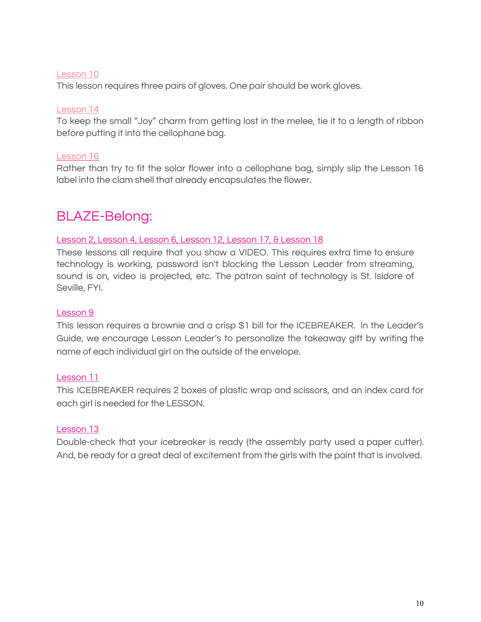#### Lesson 10

This lesson requires three pairs of gloves. One pair should be work gloves.

#### Lesson 14

To keep the small "Joy" charm from getting lost in the melee, tie it to a length of ribbon before putting it into the cellophane bag.

#### Lesson 16

Rather than try to fit the solar flower into a cellophane bag, simply slip the Lesson 16 label into the clam shell that already encapsulates the flower.

### BLAZE Belong:

#### Lesson 2, Lesson 4, Lesson 6, Lesson 12, Lesson 17, & Lesson 18

These lessons all require that you show a VIDEO. This requires extra time to ensure technology is working, password isn't blocking the Lesson Leader from streaming, sound is on, video is projected, etc. The patron saint of technology is St. Isidore of Seville, FYI.

#### Lesson 9

This lesson requires a brownie and a crisp \$1 bill for the ICEBREAKER. In the Leader's Guide, we encourage Lesson Leader's to personalize the takeaway gift by writing the name of each individual girl on the outside of the envelope.

#### Lesson 11

This ICEBREAKER requires 2 boxes of plastic wrap and scissors, and an index card for each girl is needed for the LESSON.

#### Lesson 13

Double-check that your icebreaker is ready (the assembly party used a paper cutter). And, be ready for a great deal of excitement from the girls with the paint that is involved.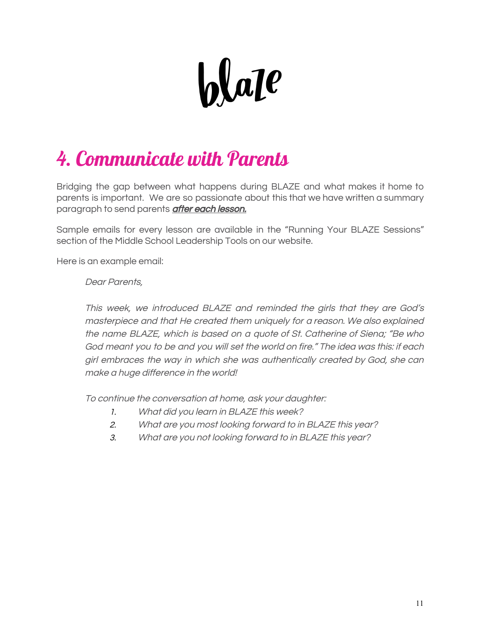

## 4. Communicate with Parents

Bridging the gap between what happens during BLAZE and what makes it home to parents is important. We are so passionate about this that we have written a summary paragraph to send parents **after each lesson.** 

Sample emails for every lesson are available in the "Running Your BLAZE Sessions" section of the Middle School Leadership Tools on our website.

Here is an example email:

#### Dear Parents,

This week, we introduced BLAZE and reminded the girls that they are God's masterpiece and that He created them uniquely for <sup>a</sup> reason. We also explained the name BLAZE, which is based on <sup>a</sup> quote of St. Catherine of Siena; "Be who God meant you to be and you will set the world on fire." The idea was this: if each girl embraces the way in which she was authentically created by God, she can make a huge difference in the world!

To continue the conversation at home, ask your daughter:

- 1. What did you learn in BLAZE this week?
- 2. What are you most looking forward to in BLAZE this year?
- 3. What are you not looking forward to in BLAZE this year?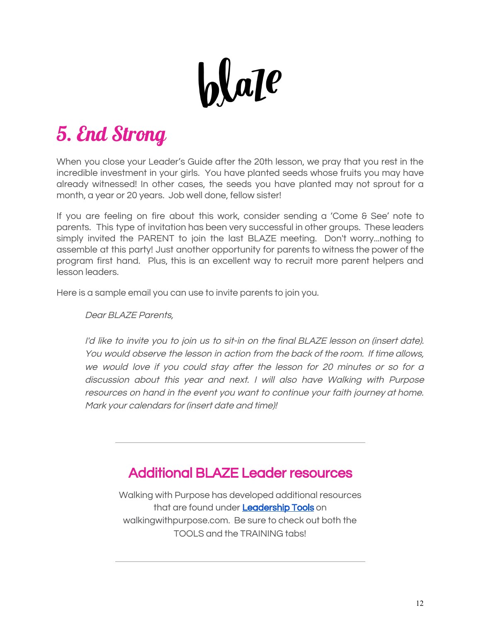

## 5. End Strong

When you close your Leader's Guide after the 20th lesson, we pray that you rest in the incredible investment in your girls. You have planted seeds whose fruits you may have already witnessed! In other cases, the seeds you have planted may not sprout for a month, a year or 20 years. Job well done, fellow sister!

If you are feeling on fire about this work, consider sending a 'Come & See' note to parents. This type of invitation has been very successful in other groups. These leaders simply invited the PARENT to join the last BLAZE meeting. Don't worry...nothing to assemble at this party! Just another opportunity for parents to witness the power of the program first hand. Plus, this is an excellent way to recruit more parent helpers and lesson leaders.

Here is a sample email you can use to invite parents to join you.

Dear BLAZE Parents,

I'd like to invite you to join us to sit-in on the final BLAZE lesson on (insert date). You would observe the lesson in action from the back of the room. If time allows, we would love if you could stay after the lesson for <sup>20</sup> minutes or so for <sup>a</sup> discussion about this year and next. <sup>I</sup> will also have Walking with Purpose resources on hand in the event you want to continue your faith journey at home. Mark your calendars for (insert date and time)!

## Additional BLAZE Leader resources

Walking with Purpose has developed additional resources that are found under [Leadership Tools](https://walkingwithpurpose.com/leadership_tools/middle-school/) on walkingwithpurpose.com. Be sure to check out both the TOOLS and the TRAINING tabs!